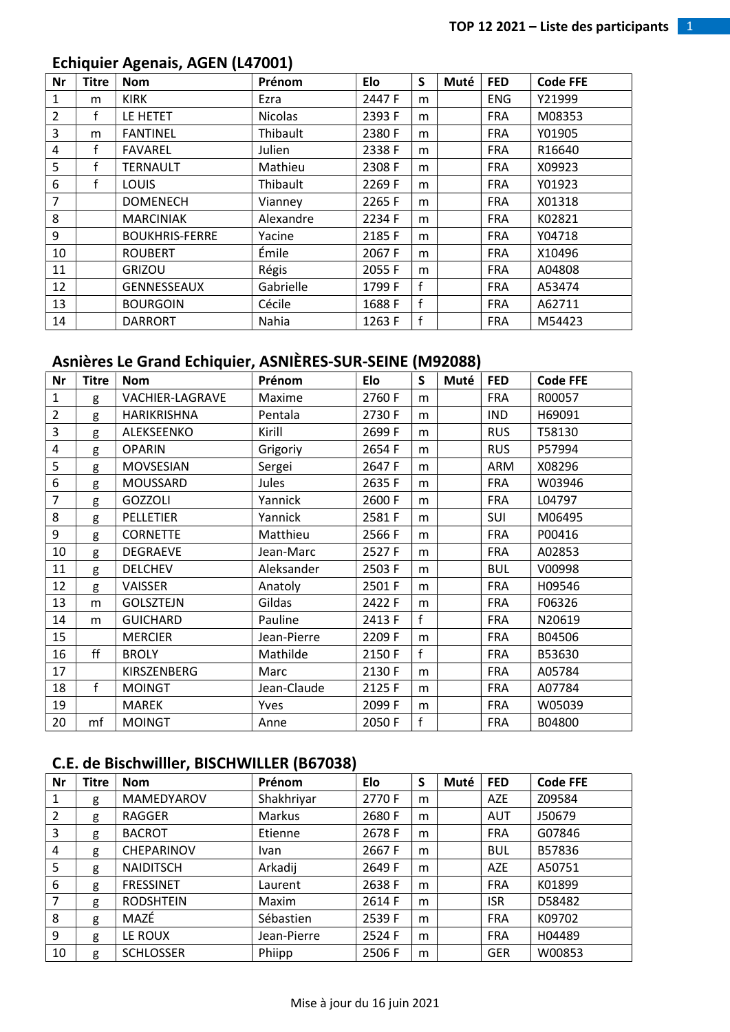## Echiquier Agenais, AGEN (L47001)

| Nr             | <b>Titre</b> | <b>Nom</b>            | Prénom         | Elo    | S            | Muté | <b>FED</b> | <b>Code FFE</b> |
|----------------|--------------|-----------------------|----------------|--------|--------------|------|------------|-----------------|
| 1              | m            | <b>KIRK</b>           | Ezra           | 2447 F | m            |      | <b>ENG</b> | Y21999          |
| $\overline{2}$ | f            | LE HETET              | <b>Nicolas</b> | 2393 F | m            |      | <b>FRA</b> | M08353          |
| 3              | m            | <b>FANTINEL</b>       | Thibault       | 2380 F | m            |      | <b>FRA</b> | Y01905          |
| 4              | f            | <b>FAVAREL</b>        | Julien         | 2338 F | m            |      | <b>FRA</b> | R16640          |
| 5              | f            | <b>TERNAULT</b>       | Mathieu        | 2308 F | m            |      | <b>FRA</b> | X09923          |
| 6              | f            | <b>LOUIS</b>          | Thibault       | 2269 F | m            |      | <b>FRA</b> | Y01923          |
| $\overline{7}$ |              | <b>DOMENECH</b>       | Vianney        | 2265 F | m            |      | <b>FRA</b> | X01318          |
| 8              |              | <b>MARCINIAK</b>      | Alexandre      | 2234 F | m            |      | <b>FRA</b> | K02821          |
| 9              |              | <b>BOUKHRIS-FERRE</b> | Yacine         | 2185F  | m            |      | <b>FRA</b> | Y04718          |
| 10             |              | <b>ROUBERT</b>        | Émile          | 2067 F | m            |      | <b>FRA</b> | X10496          |
| 11             |              | <b>GRIZOU</b>         | Régis          | 2055 F | m            |      | <b>FRA</b> | A04808          |
| 12             |              | <b>GENNESSEAUX</b>    | Gabrielle      | 1799 F | $\mathbf{f}$ |      | <b>FRA</b> | A53474          |
| 13             |              | <b>BOURGOIN</b>       | Cécile         | 1688 F | $\mathbf f$  |      | <b>FRA</b> | A62711          |
| 14             |              | <b>DARRORT</b>        | Nahia          | 1263 F | f            |      | <b>FRA</b> | M54423          |

### Asnières Le Grand Echiquier, ASNIÈRES-SUR-SEINE (M92088)

| <b>Nr</b>      | <b>Titre</b> | <b>Nom</b>       | Prénom      | Elo    | $\mathsf{S}$ | Muté | <b>FED</b> | <b>Code FFE</b> |
|----------------|--------------|------------------|-------------|--------|--------------|------|------------|-----------------|
| $\mathbf{1}$   | g            | VACHIER-LAGRAVE  | Maxime      | 2760 F | m            |      | <b>FRA</b> | R00057          |
| $\overline{2}$ | g            | HARIKRISHNA      | Pentala     | 2730 F | m            |      | <b>IND</b> | H69091          |
| 3              | g            | ALEKSEENKO       | Kirill      | 2699 F | m            |      | <b>RUS</b> | T58130          |
| $\pmb{4}$      | g            | <b>OPARIN</b>    | Grigoriy    | 2654F  | m            |      | <b>RUS</b> | P57994          |
| 5              | g            | <b>MOVSESIAN</b> | Sergei      | 2647F  | m            |      | ARM        | X08296          |
| 6              | g            | MOUSSARD         | Jules       | 2635 F | m            |      | <b>FRA</b> | W03946          |
| $\overline{7}$ | g            | <b>GOZZOLI</b>   | Yannick     | 2600F  | m            |      | <b>FRA</b> | L04797          |
| 8              | g            | <b>PELLETIER</b> | Yannick     | 2581F  | m            |      | SUI        | M06495          |
| 9              | g            | <b>CORNETTE</b>  | Matthieu    | 2566 F | m            |      | <b>FRA</b> | P00416          |
| 10             | g            | <b>DEGRAEVE</b>  | Jean-Marc   | 2527F  | m            |      | <b>FRA</b> | A02853          |
| 11             | g            | <b>DELCHEV</b>   | Aleksander  | 2503 F | m            |      | <b>BUL</b> | V00998          |
| 12             | g            | <b>VAISSER</b>   | Anatoly     | 2501 F | m            |      | <b>FRA</b> | H09546          |
| 13             | m            | <b>GOLSZTEJN</b> | Gildas      | 2422 F | m            |      | <b>FRA</b> | F06326          |
| 14             | m            | <b>GUICHARD</b>  | Pauline     | 2413 F | f            |      | <b>FRA</b> | N20619          |
| 15             |              | <b>MERCIER</b>   | Jean-Pierre | 2209 F | m            |      | <b>FRA</b> | B04506          |
| 16             | ff           | <b>BROLY</b>     | Mathilde    | 2150 F | f            |      | <b>FRA</b> | B53630          |
| 17             |              | KIRSZENBERG      | Marc        | 2130 F | m            |      | <b>FRA</b> | A05784          |
| 18             | f            | <b>MOINGT</b>    | Jean-Claude | 2125 F | m            |      | <b>FRA</b> | A07784          |
| 19             |              | <b>MAREK</b>     | Yves        | 2099 F | m            |      | <b>FRA</b> | W05039          |
| 20             | mf           | <b>MOINGT</b>    | Anne        | 2050 F | f            |      | <b>FRA</b> | B04800          |

## C.E. de Bischwilller, BISCHWILLER (B67038)

| <b>Nr</b>               | Titre | <b>Nom</b>       | Prénom      | Elo    | S | Muté | <b>FED</b> | <b>Code FFE</b> |
|-------------------------|-------|------------------|-------------|--------|---|------|------------|-----------------|
| 1                       | g     | MAMEDYAROV       | Shakhriyar  | 2770 F | m |      | <b>AZE</b> | Z09584          |
| 2                       | g     | <b>RAGGER</b>    | Markus      | 2680 F | m |      | <b>AUT</b> | J50679          |
| $\overline{\mathbf{3}}$ | g     | <b>BACROT</b>    | Etienne     | 2678 F | m |      | <b>FRA</b> | G07846          |
| $\overline{4}$          | g     | CHEPARINOV       | <b>Ivan</b> | 2667 F | m |      | <b>BUL</b> | B57836          |
| 5                       | g     | <b>NAIDITSCH</b> | Arkadij     | 2649 F | m |      | <b>AZE</b> | A50751          |
| 6                       | g     | <b>FRESSINET</b> | Laurent     | 2638 F | m |      | <b>FRA</b> | K01899          |
| 7                       | g     | <b>RODSHTEIN</b> | Maxim       | 2614 F | m |      | <b>ISR</b> | D58482          |
| 8                       | g     | MAZÉ             | Sébastien   | 2539 F | m |      | <b>FRA</b> | K09702          |
| 9                       | g     | LE ROUX          | Jean-Pierre | 2524 F | m |      | <b>FRA</b> | H04489          |
| 10                      | g     | <b>SCHLOSSER</b> | Phiipp      | 2506 F | m |      | <b>GER</b> | W00853          |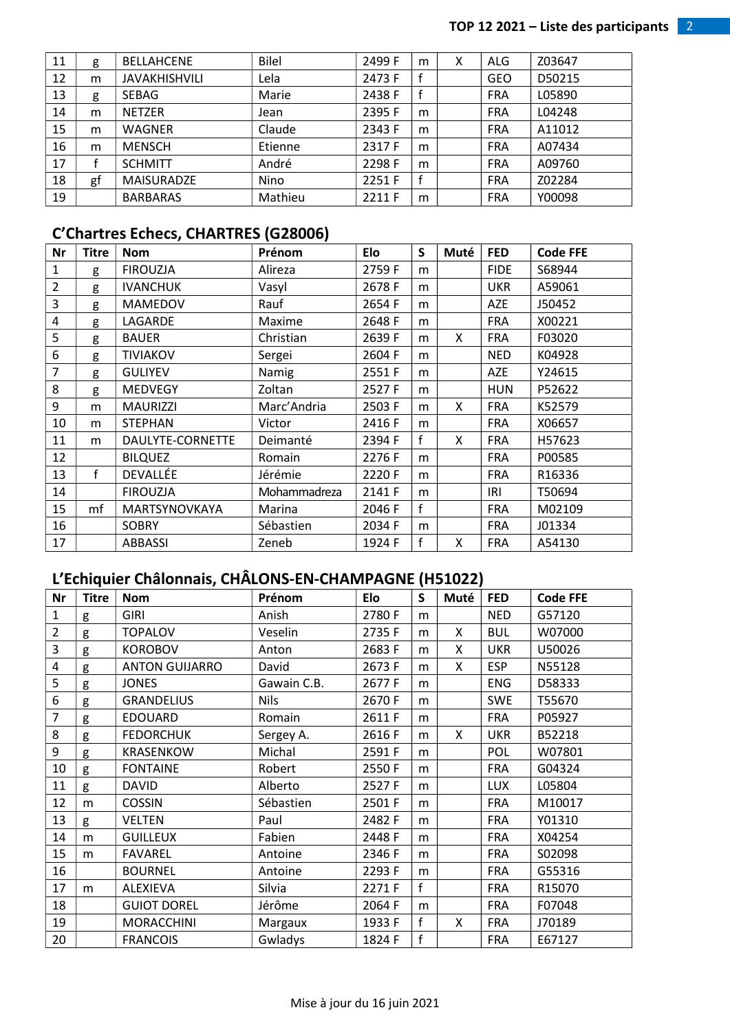| 11 | g  | <b>BELLAHCENE</b>    | <b>Bilel</b> | 2499 F | m | Χ | ALG        | Z03647 |
|----|----|----------------------|--------------|--------|---|---|------------|--------|
| 12 | m  | <b>JAVAKHISHVILI</b> | Lela         | 2473 F |   |   | <b>GEO</b> | D50215 |
| 13 | g  | <b>SEBAG</b>         | Marie        | 2438 F |   |   | <b>FRA</b> | L05890 |
| 14 | m  | <b>NETZER</b>        | Jean         | 2395 F | m |   | <b>FRA</b> | L04248 |
| 15 | m  | WAGNER               | Claude       | 2343 F | m |   | <b>FRA</b> | A11012 |
| 16 | m  | <b>MENSCH</b>        | Etienne      | 2317 F | m |   | <b>FRA</b> | A07434 |
| 17 |    | <b>SCHMITT</b>       | André        | 2298 F | m |   | <b>FRA</b> | A09760 |
| 18 | gf | <b>MAISURADZE</b>    | Nino         | 2251 F | f |   | <b>FRA</b> | Z02284 |
| 19 |    | <b>BARBARAS</b>      | Mathieu      | 2211 F | m |   | <b>FRA</b> | Y00098 |

#### C'Chartres Echecs, CHARTRES (G28006)

| Nr             | Titre | <b>Nom</b>       | Prénom       | Elo    | S            | Muté | <b>FED</b>  | <b>Code FFE</b> |
|----------------|-------|------------------|--------------|--------|--------------|------|-------------|-----------------|
| $\mathbf{1}$   | g     | <b>FIROUZJA</b>  | Alireza      | 2759F  | m            |      | <b>FIDE</b> | S68944          |
| $\overline{2}$ | g     | <b>IVANCHUK</b>  | Vasyl        | 2678 F | m            |      | <b>UKR</b>  | A59061          |
| 3              | g     | <b>MAMEDOV</b>   | Rauf         | 2654 F | m            |      | <b>AZE</b>  | J50452          |
| 4              | g     | LAGARDE          | Maxime       | 2648 F | m            |      | <b>FRA</b>  | X00221          |
| 5              | g     | <b>BAUER</b>     | Christian    | 2639 F | m            | X    | <b>FRA</b>  | F03020          |
| 6              | g     | <b>TIVIAKOV</b>  | Sergei       | 2604 F | m            |      | <b>NED</b>  | K04928          |
| $\overline{7}$ | g     | <b>GULIYEV</b>   | Namig        | 2551F  | m            |      | <b>AZE</b>  | Y24615          |
| 8              | g     | <b>MEDVEGY</b>   | Zoltan       | 2527F  | m            |      | <b>HUN</b>  | P52622          |
| 9              | m     | <b>MAURIZZI</b>  | Marc'Andria  | 2503 F | m            | X    | <b>FRA</b>  | K52579          |
| 10             | m     | <b>STEPHAN</b>   | Victor       | 2416 F | m            |      | <b>FRA</b>  | X06657          |
| 11             | m     | DAULYTE-CORNETTE | Deimanté     | 2394 F | $\mathbf{f}$ | X    | <b>FRA</b>  | H57623          |
| 12             |       | <b>BILQUEZ</b>   | Romain       | 2276 F | m            |      | <b>FRA</b>  | P00585          |
| 13             | f     | DEVALLÉE         | Jérémie      | 2220 F | m            |      | <b>FRA</b>  | R16336          |
| 14             |       | <b>FIROUZJA</b>  | Mohammadreza | 2141 F | m            |      | IRI         | T50694          |
| 15             | mf    | MARTSYNOVKAYA    | Marina       | 2046 F | f            |      | <b>FRA</b>  | M02109          |
| 16             |       | <b>SOBRY</b>     | Sébastien    | 2034 F | m            |      | <b>FRA</b>  | J01334          |
| 17             |       | <b>ABBASSI</b>   | Zeneb        | 1924 F | f            | X    | <b>FRA</b>  | A54130          |

# L'Echiquier Châlonnais, CHÂLONS-EN-CHAMPAGNE (H51022)

| Nr             | Titre | <b>Nom</b>            | Prénom      | Elo    | S | Muté | <b>FED</b> | <b>Code FFE</b> |
|----------------|-------|-----------------------|-------------|--------|---|------|------------|-----------------|
| $\mathbf{1}$   | g     | GIRI                  | Anish       | 2780 F | m |      | <b>NED</b> | G57120          |
| $\overline{2}$ | g     | <b>TOPALOV</b>        | Veselin     | 2735 F | m | X    | <b>BUL</b> | W07000          |
| 3              | g     | <b>KOROBOV</b>        | Anton       | 2683 F | m | X    | <b>UKR</b> | U50026          |
| 4              | g     | <b>ANTON GUIJARRO</b> | David       | 2673 F | m | X    | <b>ESP</b> | N55128          |
| 5              | g     | <b>JONES</b>          | Gawain C.B. | 2677F  | m |      | <b>ENG</b> | D58333          |
| 6              | g     | <b>GRANDELIUS</b>     | <b>Nils</b> | 2670 F | m |      | <b>SWE</b> | T55670          |
| $\overline{7}$ | g     | <b>EDOUARD</b>        | Romain      | 2611 F | m |      | <b>FRA</b> | P05927          |
| 8              | g     | <b>FEDORCHUK</b>      | Sergey A.   | 2616F  | m | X    | <b>UKR</b> | B52218          |
| 9              | g     | <b>KRASENKOW</b>      | Michal      | 2591 F | m |      | POL        | W07801          |
| 10             | g     | <b>FONTAINE</b>       | Robert      | 2550F  | m |      | <b>FRA</b> | G04324          |
| 11             | g     | <b>DAVID</b>          | Alberto     | 2527F  | m |      | <b>LUX</b> | L05804          |
| 12             | m     | <b>COSSIN</b>         | Sébastien   | 2501 F | m |      | <b>FRA</b> | M10017          |
| 13             | g     | <b>VELTEN</b>         | Paul        | 2482 F | m |      | <b>FRA</b> | Y01310          |
| 14             | m     | <b>GUILLEUX</b>       | Fabien      | 2448 F | m |      | <b>FRA</b> | X04254          |
| 15             | m     | <b>FAVAREL</b>        | Antoine     | 2346 F | m |      | <b>FRA</b> | S02098          |
| 16             |       | <b>BOURNEL</b>        | Antoine     | 2293 F | m |      | <b>FRA</b> | G55316          |
| 17             | m     | ALEXIEVA              | Silvia      | 2271 F | f |      | <b>FRA</b> | R15070          |
| 18             |       | <b>GUIOT DOREL</b>    | Jérôme      | 2064 F | m |      | <b>FRA</b> | F07048          |
| 19             |       | <b>MORACCHINI</b>     | Margaux     | 1933 F | f | X    | <b>FRA</b> | J70189          |
| 20             |       | <b>FRANCOIS</b>       | Gwladys     | 1824 F | f |      | <b>FRA</b> | E67127          |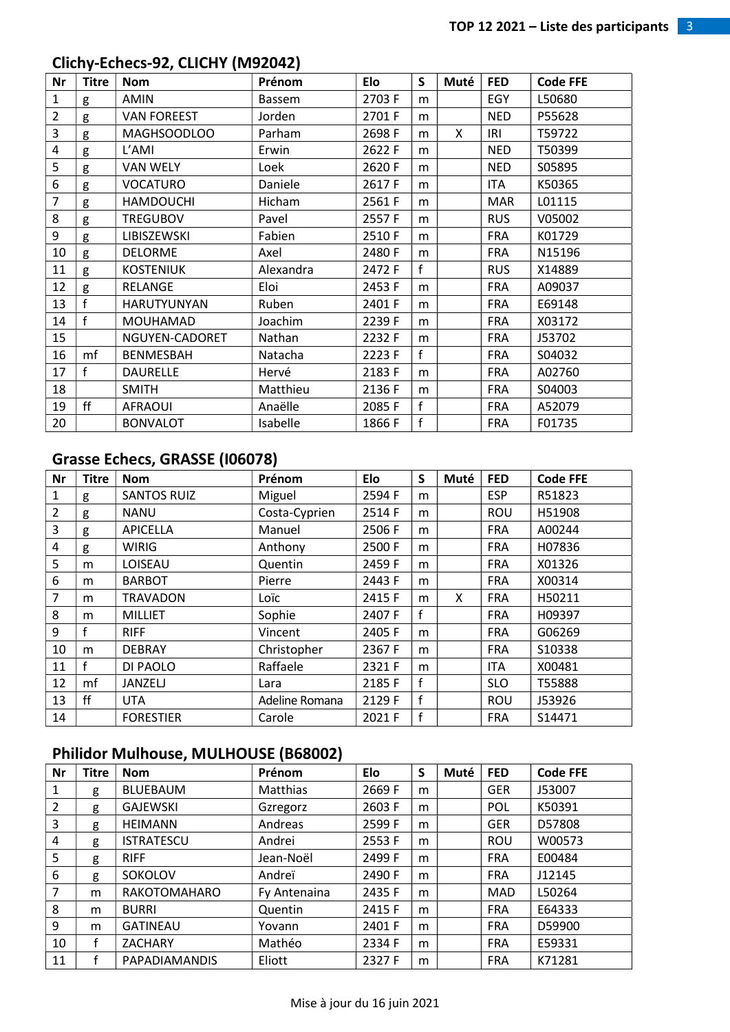## Clichy-Echecs-92, CLICHY (M92042)

| <b>Nr</b>      | <b>Titre</b> | <b>Nom</b>         | Prénom        | Elo    | S            | Muté | <b>FED</b> | <b>Code FFE</b> |
|----------------|--------------|--------------------|---------------|--------|--------------|------|------------|-----------------|
| $\mathbf{1}$   | g            | <b>AMIN</b>        | Bassem        | 2703 F | m            |      | EGY        | L50680          |
| $\overline{2}$ | g            | <b>VAN FOREEST</b> | Jorden        | 2701 F | m            |      | <b>NED</b> | P55628          |
| 3              | g            | <b>MAGHSOODLOO</b> | Parham        | 2698F  | m            | X    | IRI        | T59722          |
| $\pmb{4}$      | g            | L'AMI              | Erwin         | 2622 F | m            |      | <b>NED</b> | T50399          |
| 5              | g            | <b>VAN WELY</b>    | Loek          | 2620 F | m            |      | <b>NED</b> | S05895          |
| 6              | g            | <b>VOCATURO</b>    | Daniele       | 2617F  | m            |      | ITA        | K50365          |
| $\overline{7}$ | g            | <b>HAMDOUCHI</b>   | <b>Hicham</b> | 2561 F | m            |      | <b>MAR</b> | L01115          |
| 8              | g            | <b>TREGUBOV</b>    | Pavel         | 2557F  | m            |      | <b>RUS</b> | V05002          |
| 9              | g            | LIBISZEWSKI        | Fabien        | 2510 F | m            |      | <b>FRA</b> | K01729          |
| 10             | g            | <b>DELORME</b>     | Axel          | 2480 F | m            |      | <b>FRA</b> | N15196          |
| 11             | g            | <b>KOSTENIUK</b>   | Alexandra     | 2472 F | f            |      | <b>RUS</b> | X14889          |
| 12             | g            | <b>RELANGE</b>     | Eloi          | 2453 F | m            |      | <b>FRA</b> | A09037          |
| 13             | f            | <b>HARUTYUNYAN</b> | Ruben         | 2401 F | m            |      | <b>FRA</b> | E69148          |
| 14             | f            | MOUHAMAD           | Joachim       | 2239 F | m            |      | <b>FRA</b> | X03172          |
| 15             |              | NGUYEN-CADORET     | Nathan        | 2232 F | m            |      | <b>FRA</b> | J53702          |
| 16             | mf           | <b>BENMESBAH</b>   | Natacha       | 2223 F | f            |      | <b>FRA</b> | S04032          |
| 17             | f            | <b>DAURELLE</b>    | Hervé         | 2183 F | m            |      | <b>FRA</b> | A02760          |
| 18             |              | <b>SMITH</b>       | Matthieu      | 2136 F | m            |      | <b>FRA</b> | S04003          |
| 19             | ff           | <b>AFRAOUI</b>     | Anaëlle       | 2085 F | $\mathsf{f}$ |      | <b>FRA</b> | A52079          |
| 20             |              | <b>BONVALOT</b>    | Isabelle      | 1866 F | f            |      | <b>FRA</b> | F01735          |

#### Grasse Echecs, GRASSE (I06078)

| Nr | <b>Titre</b> | <b>Nom</b>         | Prénom         | Elo    | S            | Muté | <b>FED</b> | <b>Code FFE</b> |
|----|--------------|--------------------|----------------|--------|--------------|------|------------|-----------------|
| 1  | g            | <b>SANTOS RUIZ</b> | Miguel         | 2594 F | m            |      | <b>ESP</b> | R51823          |
| 2  | g            | <b>NANU</b>        | Costa-Cyprien  | 2514 F | m            |      | <b>ROU</b> | H51908          |
| 3  | g            | <b>APICELLA</b>    | Manuel         | 2506 F | m            |      | <b>FRA</b> | A00244          |
| 4  | g            | <b>WIRIG</b>       | Anthony        | 2500 F | m            |      | <b>FRA</b> | H07836          |
| 5  | m            | LOISEAU            | Quentin        | 2459 F | m            |      | <b>FRA</b> | X01326          |
| 6  | m            | <b>BARBOT</b>      | Pierre         | 2443 F | m            |      | <b>FRA</b> | X00314          |
| 7  | m            | <b>TRAVADON</b>    | Loïc           | 2415F  | m            | X    | <b>FRA</b> | H50211          |
| 8  | m            | <b>MILLIET</b>     | Sophie         | 2407 F | f            |      | <b>FRA</b> | H09397          |
| 9  |              | <b>RIFF</b>        | Vincent        | 2405F  | m            |      | <b>FRA</b> | G06269          |
| 10 | m            | <b>DEBRAY</b>      | Christopher    | 2367 F | m            |      | <b>FRA</b> | S10338          |
| 11 |              | DI PAOLO           | Raffaele       | 2321 F | m            |      | <b>ITA</b> | X00481          |
| 12 | mf           | JANZELJ            | Lara           | 2185F  | $\mathbf f$  |      | <b>SLO</b> | T55888          |
| 13 | ff           | <b>UTA</b>         | Adeline Romana | 2129 F | $\mathbf f$  |      | <b>ROU</b> | J53926          |
| 14 |              | <b>FORESTIER</b>   | Carole         | 2021 F | $\mathsf{f}$ |      | <b>FRA</b> | S14471          |

#### Philidor Mulhouse, MULHOUSE (B68002)

| <b>Nr</b>      | <b>Titre</b> | <b>Nom</b>           | Prénom       | Elo    | S | Muté | <b>FED</b> | <b>Code FFE</b> |
|----------------|--------------|----------------------|--------------|--------|---|------|------------|-----------------|
| 1              | g            | <b>BLUEBAUM</b>      | Matthias     | 2669 F | m |      | <b>GER</b> | J53007          |
| 2              | g            | <b>GAJEWSKI</b>      | Gzregorz     | 2603 F | m |      | <b>POL</b> | K50391          |
| $\overline{3}$ | g            | <b>HEIMANN</b>       | Andreas      | 2599 F | m |      | <b>GER</b> | D57808          |
| 4              | g            | <b>ISTRATESCU</b>    | Andrei       | 2553 F | m |      | <b>ROU</b> | W00573          |
| 5              | g            | <b>RIFF</b>          | Jean-Noël    | 2499 F | m |      | <b>FRA</b> | E00484          |
| 6              | g            | SOKOLOV              | Andreï       | 2490 F | m |      | <b>FRA</b> | J12145          |
| $\overline{7}$ | m            | RAKOTOMAHARO         | Fy Antenaina | 2435 F | m |      | <b>MAD</b> | L50264          |
| 8              | m            | <b>BURRI</b>         | Quentin      | 2415 F | m |      | <b>FRA</b> | E64333          |
| 9              | m            | <b>GATINEAU</b>      | Yovann       | 2401 F | m |      | <b>FRA</b> | D59900          |
| 10             | f            | <b>ZACHARY</b>       | Mathéo       | 2334 F | m |      | <b>FRA</b> | E59331          |
| 11             |              | <b>PAPADIAMANDIS</b> | Eliott       | 2327 F | m |      | <b>FRA</b> | K71281          |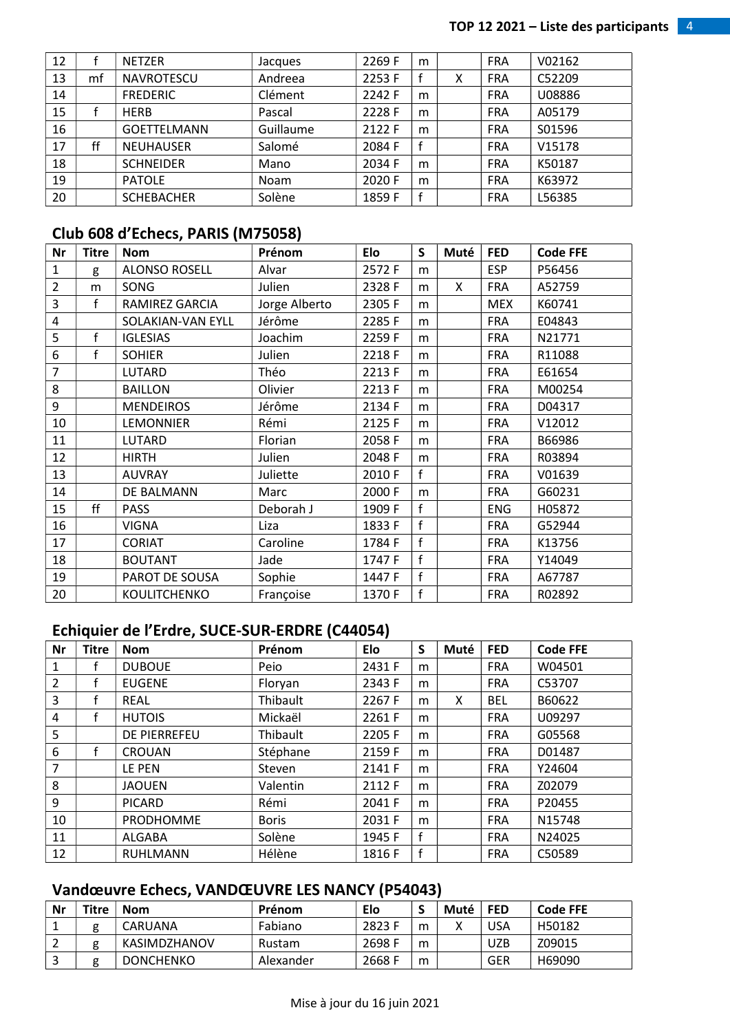| 12 |    | <b>NETZER</b>      | Jacques     | 2269 F | m |   | <b>FRA</b> | V02162 |
|----|----|--------------------|-------------|--------|---|---|------------|--------|
| 13 | mf | <b>NAVROTESCU</b>  | Andreea     | 2253 F |   | х | <b>FRA</b> | C52209 |
| 14 |    | <b>FREDERIC</b>    | Clément     | 2242 F | m |   | <b>FRA</b> | U08886 |
| 15 |    | <b>HERB</b>        | Pascal      | 2228 F | m |   | <b>FRA</b> | A05179 |
| 16 |    | <b>GOETTELMANN</b> | Guillaume   | 2122 F | m |   | <b>FRA</b> | S01596 |
| 17 | ff | <b>NEUHAUSER</b>   | Salomé      | 2084 F |   |   | <b>FRA</b> | V15178 |
| 18 |    | <b>SCHNEIDER</b>   | Mano        | 2034 F | m |   | <b>FRA</b> | K50187 |
| 19 |    | <b>PATOLE</b>      | <b>Noam</b> | 2020 F | m |   | <b>FRA</b> | K63972 |
| 20 |    | <b>SCHEBACHER</b>  | Solène      | 1859 F |   |   | <b>FRA</b> | L56385 |

#### Club 608 d'Echecs, PARIS (M75058)

| Nr               | <b>Titre</b> | <b>Nom</b>           | Prénom        | Elo    | S            | Muté | <b>FED</b> | <b>Code FFE</b> |
|------------------|--------------|----------------------|---------------|--------|--------------|------|------------|-----------------|
| $\mathbf{1}$     | g            | <b>ALONSO ROSELL</b> | Alvar         | 2572 F | m            |      | <b>ESP</b> | P56456          |
| $\overline{2}$   | m            | SONG                 | Julien        | 2328 F | m            | X    | <b>FRA</b> | A52759          |
| 3                | f            | RAMIREZ GARCIA       | Jorge Alberto | 2305 F | m            |      | <b>MEX</b> | K60741          |
| 4                |              | SOLAKIAN-VAN EYLL    | Jérôme        | 2285F  | m            |      | <b>FRA</b> | E04843          |
| 5                | f            | <b>IGLESIAS</b>      | Joachim       | 2259F  | m            |      | <b>FRA</b> | N21771          |
| $\boldsymbol{6}$ | f            | <b>SOHIER</b>        | Julien        | 2218F  | m            |      | <b>FRA</b> | R11088          |
| $\overline{7}$   |              | LUTARD               | Théo          | 2213F  | m            |      | <b>FRA</b> | E61654          |
| 8                |              | <b>BAILLON</b>       | Olivier       | 2213 F | m            |      | <b>FRA</b> | M00254          |
| 9                |              | <b>MENDEIROS</b>     | Jérôme        | 2134 F | m            |      | <b>FRA</b> | D04317          |
| 10               |              | <b>LEMONNIER</b>     | Rémi          | 2125 F | m            |      | <b>FRA</b> | V12012          |
| 11               |              | LUTARD               | Florian       | 2058 F | m            |      | <b>FRA</b> | B66986          |
| 12               |              | <b>HIRTH</b>         | Julien        | 2048 F | m            |      | <b>FRA</b> | R03894          |
| 13               |              | <b>AUVRAY</b>        | Juliette      | 2010 F | f            |      | <b>FRA</b> | V01639          |
| 14               |              | DE BALMANN           | Marc          | 2000 F | m            |      | <b>FRA</b> | G60231          |
| 15               | ff           | <b>PASS</b>          | Deborah J     | 1909 F | f            |      | <b>ENG</b> | H05872          |
| 16               |              | <b>VIGNA</b>         | Liza          | 1833 F | f            |      | <b>FRA</b> | G52944          |
| 17               |              | <b>CORIAT</b>        | Caroline      | 1784 F | $\mathsf{f}$ |      | <b>FRA</b> | K13756          |
| 18               |              | <b>BOUTANT</b>       | Jade          | 1747 F | f            |      | <b>FRA</b> | Y14049          |
| 19               |              | PAROT DE SOUSA       | Sophie        | 1447 F | $\mathsf{f}$ |      | <b>FRA</b> | A67787          |
| 20               |              | KOULITCHENKO         | Françoise     | 1370 F | f            |      | <b>FRA</b> | R02892          |

# Echiquier de l'Erdre, SUCE-SUR-ERDRE (C44054)

| Nr             | <b>Titre</b> | <b>Nom</b>          | Prénom       | Elo    | S | Muté | <b>FED</b> | <b>Code FFE</b> |
|----------------|--------------|---------------------|--------------|--------|---|------|------------|-----------------|
| 1              | f            | <b>DUBOUE</b>       | Peio         | 2431 F | m |      | <b>FRA</b> | W04501          |
| 2              |              | <b>EUGENE</b>       | Floryan      | 2343 F | m |      | <b>FRA</b> | C53707          |
| 3              | f            | <b>REAL</b>         | Thibault     | 2267F  | m | X    | <b>BEL</b> | B60622          |
| 4              | f            | <b>HUTOIS</b>       | Mickaël      | 2261 F | m |      | <b>FRA</b> | U09297          |
| 5              |              | <b>DE PIERREFEU</b> | Thibault     | 2205 F | m |      | <b>FRA</b> | G05568          |
| 6              |              | <b>CROUAN</b>       | Stéphane     | 2159 F | m |      | <b>FRA</b> | D01487          |
| $\overline{7}$ |              | LE PEN              | Steven       | 2141 F | m |      | <b>FRA</b> | Y24604          |
| 8              |              | <b>JAOUEN</b>       | Valentin     | 2112 F | m |      | <b>FRA</b> | Z02079          |
| 9              |              | <b>PICARD</b>       | Rémi         | 2041 F | m |      | <b>FRA</b> | P20455          |
| 10             |              | <b>PRODHOMME</b>    | <b>Boris</b> | 2031 F | m |      | <b>FRA</b> | N15748          |
| 11             |              | <b>ALGABA</b>       | Solène       | 1945 F | f |      | <b>FRA</b> | N24025          |
| 12             |              | <b>RUHLMANN</b>     | Hélène       | 1816 F | f |      | <b>FRA</b> | C50589          |

#### Vandœuvre Echecs, VANDŒUVRE LES NANCY (P54043)

| Nr | Titre, | Nom              | Prénom    | Elo    |   | Muté | <b>FED</b> | <b>Code FFE</b> |
|----|--------|------------------|-----------|--------|---|------|------------|-----------------|
|    |        | CARUANA          | Fabiano   | 2823 F | m |      | USA        | H50182          |
|    |        | KASIMDZHANOV     | Rustam    | 2698 F | m |      | UZB        | Z09015          |
|    |        | <b>DONCHENKO</b> | Alexander | 2668 F | m |      | GER        | H69090          |